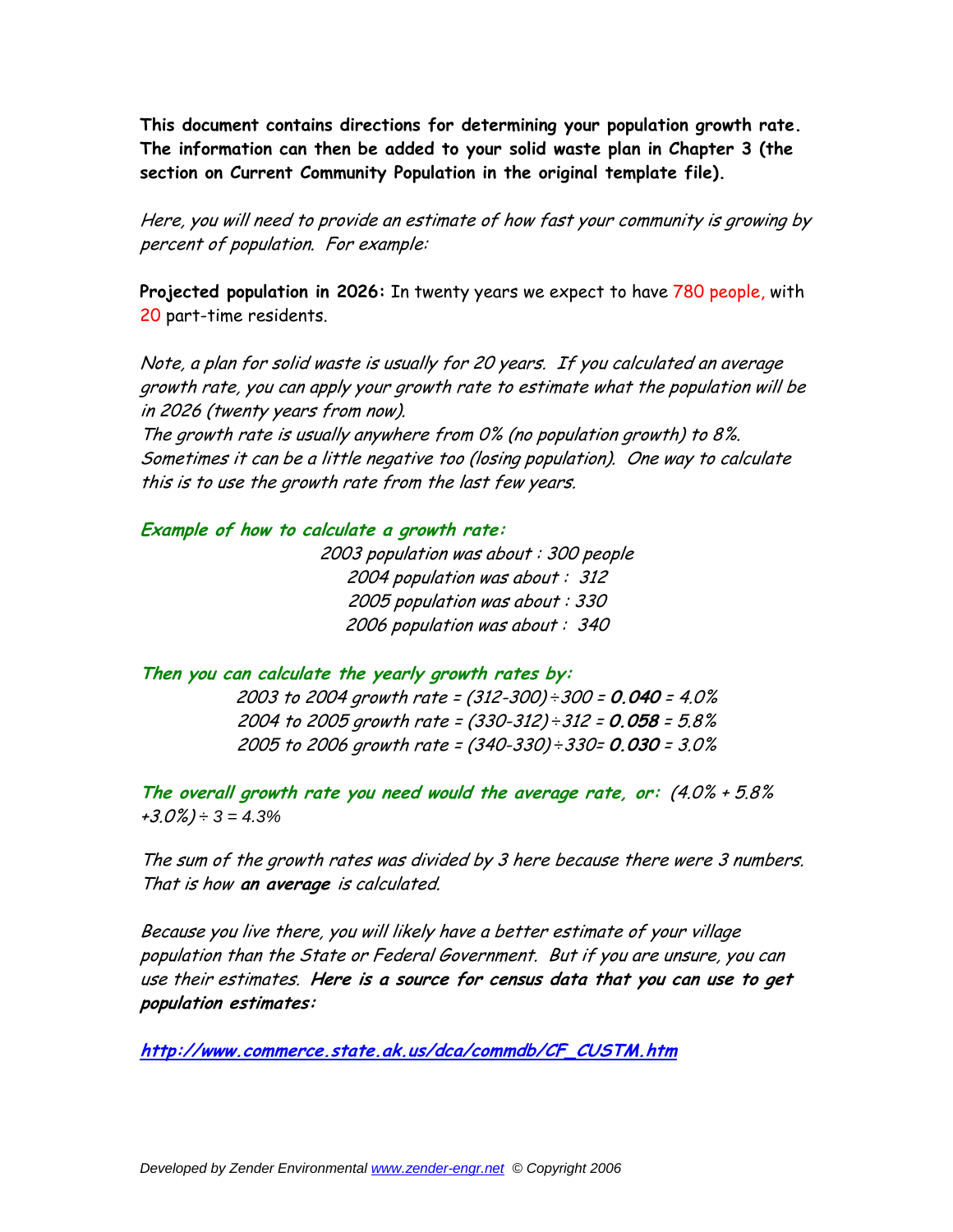**This document contains directions for determining your population growth rate. The information can then be added to your solid waste plan in Chapter 3 (the section on Current Community Population in the original template file).** 

Here, you will need to provide an estimate of how fast your community is growing by percent of population. For example:

**Projected population in 2026:** In twenty years we expect to have 780 people, with 20 part-time residents.

Note, a plan for solid waste is usually for 20 years. If you calculated an average growth rate, you can apply your growth rate to estimate what the population will be in 2026 (twenty years from now).

The growth rate is usually anywhere from 0% (no population growth) to 8%. Sometimes it can be a little negative too (losing population). One way to calculate this is to use the growth rate from the last few years.

## **Example of how to calculate a growth rate:**

2003 population was about : 300 people 2004 population was about : 312 2005 population was about : 330 2006 population was about : 340

**Then you can calculate the yearly growth rates by:**  2003 to 2004 growth rate = (312-300) *÷*300 = **0.040** = 4.0% 2004 to 2005 growth rate = (330-312) *÷*312 = **0.058** = 5.8% 2005 to 2006 growth rate = (340-330) *÷*330= **0.030** = 3.0%

**The overall growth rate you need would the average rate, or:** (4.0% + 5.8% +3.0%) *÷ 3 = 4.3%* 

The sum of the growth rates was divided by 3 here because there were 3 numbers. That is how **an average** is calculated.

Because you live there, you will likely have a better estimate of your village population than the State or Federal Government. But if you are unsure, you can use their estimates. **Here is a source for census data that you can use to get population estimates:** 

**http://www.commerce.state.ak.us/dca/commdb/CF\_CUSTM.htm**